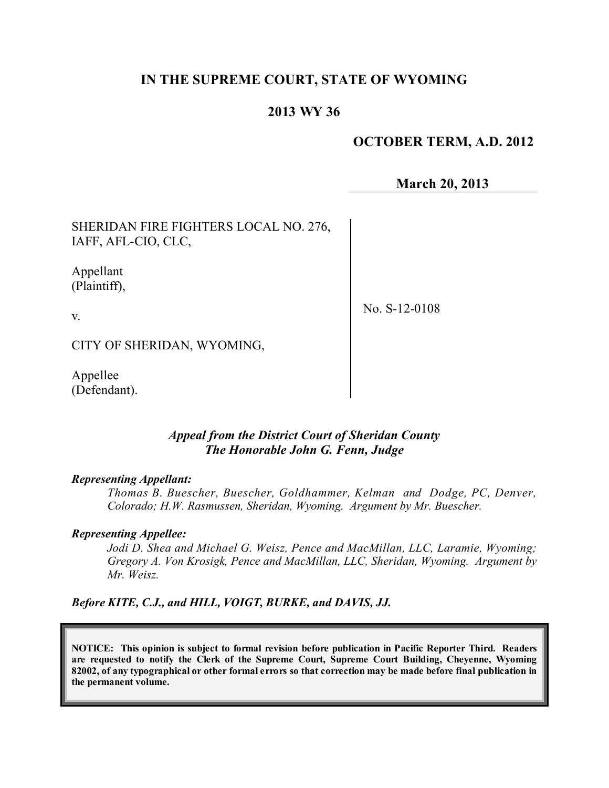## **IN THE SUPREME COURT, STATE OF WYOMING**

## **2013 WY 36**

#### **OCTOBER TERM, A.D. 2012**

**March 20, 2013**

SHERIDAN FIRE FIGHTERS LOCAL NO. 276, IAFF, AFL-CIO, CLC,

Appellant (Plaintiff),

v.

No. S-12-0108

CITY OF SHERIDAN, WYOMING,

Appellee (Defendant).

#### *Appeal from the District Court of Sheridan County The Honorable John G. Fenn, Judge*

#### *Representing Appellant:*

*Thomas B. Buescher, Buescher, Goldhammer, Kelman and Dodge, PC, Denver, Colorado; H.W. Rasmussen, Sheridan, Wyoming. Argument by Mr. Buescher.*

#### *Representing Appellee:*

*Jodi D. Shea and Michael G. Weisz, Pence and MacMillan, LLC, Laramie, Wyoming; Gregory A. Von Krosigk, Pence and MacMillan, LLC, Sheridan, Wyoming. Argument by Mr. Weisz.*

*Before KITE, C.J., and HILL, VOIGT, BURKE, and DAVIS, JJ.*

**NOTICE: This opinion is subject to formal revision before publication in Pacific Reporter Third. Readers are requested to notify the Clerk of the Supreme Court, Supreme Court Building, Cheyenne, Wyoming** 82002, of any typographical or other formal errors so that correction may be made before final publication in **the permanent volume.**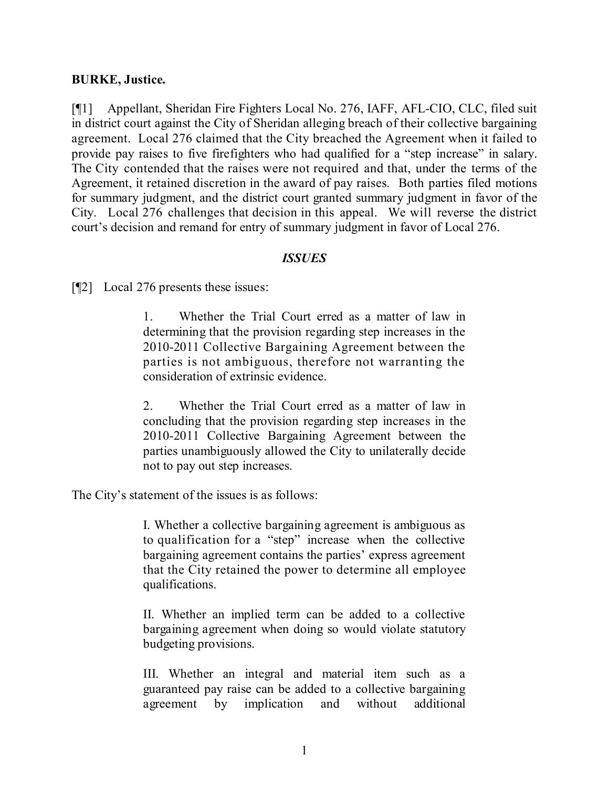#### **BURKE, Justice.**

[¶1] Appellant, Sheridan Fire Fighters Local No. 276, IAFF, AFL-CIO, CLC, filed suit in district court against the City of Sheridan alleging breach of their collective bargaining agreement. Local 276 claimed that the City breached the Agreement when it failed to provide pay raises to five firefighters who had qualified for a "step increase" in salary. The City contended that the raises were not required and that, under the terms of the Agreement, it retained discretion in the award of pay raises. Both parties filed motions for summary judgment, and the district court granted summary judgment in favor of the City. Local 276 challenges that decision in this appeal. We will reverse the district court's decision and remand for entry of summary judgment in favor of Local 276.

#### *ISSUES*

[¶2] Local 276 presents these issues:

1. Whether the Trial Court erred as a matter of law in determining that the provision regarding step increases in the 2010-2011 Collective Bargaining Agreement between the parties is not ambiguous, therefore not warranting the consideration of extrinsic evidence.

2. Whether the Trial Court erred as a matter of law in concluding that the provision regarding step increases in the 2010-2011 Collective Bargaining Agreement between the parties unambiguously allowed the City to unilaterally decide not to pay out step increases.

The City's statement of the issues is as follows:

I. Whether a collective bargaining agreement is ambiguous as to qualification for a "step" increase when the collective bargaining agreement contains the parties' express agreement that the City retained the power to determine all employee qualifications.

II. Whether an implied term can be added to a collective bargaining agreement when doing so would violate statutory budgeting provisions.

III. Whether an integral and material item such as a guaranteed pay raise can be added to a collective bargaining agreement by implication and without additional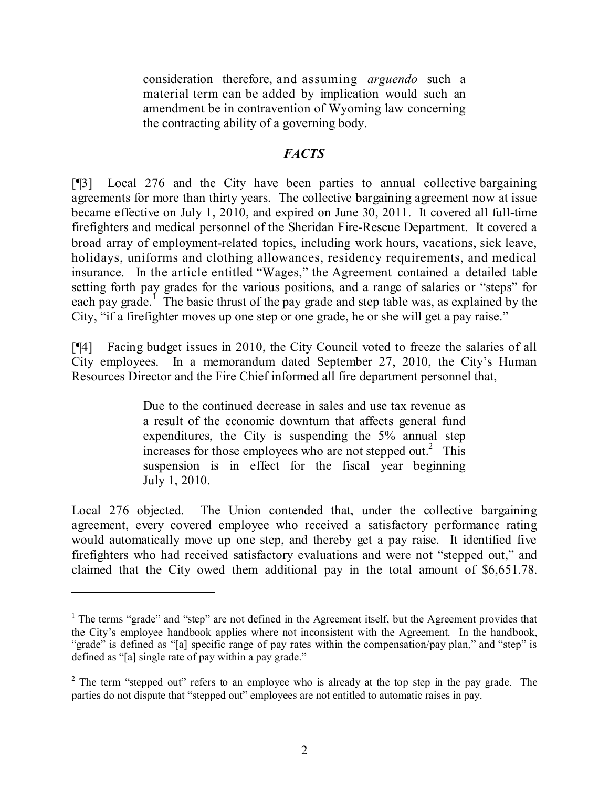consideration therefore, and assuming *arguendo* such a material term can be added by implication would such an amendment be in contravention of Wyoming law concerning the contracting ability of a governing body.

## *FACTS*

[¶3] Local 276 and the City have been parties to annual collective bargaining agreements for more than thirty years. The collective bargaining agreement now at issue became effective on July 1, 2010, and expired on June 30, 2011. It covered all full-time firefighters and medical personnel of the Sheridan Fire-Rescue Department. It covered a broad array of employment-related topics, including work hours, vacations, sick leave, holidays, uniforms and clothing allowances, residency requirements, and medical insurance. In the article entitled "Wages," the Agreement contained a detailed table setting forth pay grades for the various positions, and a range of salaries or "steps" for each pay grade.<sup>I</sup> The basic thrust of the pay grade and step table was, as explained by the City, "if a firefighter moves up one step or one grade, he or she will get a pay raise."

[¶4] Facing budget issues in 2010, the City Council voted to freeze the salaries of all City employees. In a memorandum dated September 27, 2010, the City's Human Resources Director and the Fire Chief informed all fire department personnel that,

> Due to the continued decrease in sales and use tax revenue as a result of the economic downturn that affects general fund expenditures, the City is suspending the 5% annual step increases for those employees who are not stepped out.<sup>2</sup> This suspension is in effect for the fiscal year beginning July 1, 2010.

Local 276 objected. The Union contended that, under the collective bargaining agreement, every covered employee who received a satisfactory performance rating would automatically move up one step, and thereby get a pay raise. It identified five firefighters who had received satisfactory evaluations and were not "stepped out," and claimed that the City owed them additional pay in the total amount of \$6,651.78.

<sup>&</sup>lt;sup>1</sup> The terms "grade" and "step" are not defined in the Agreement itself, but the Agreement provides that the City's employee handbook applies where not inconsistent with the Agreement. In the handbook, "grade" is defined as "[a] specific range of pay rates within the compensation/pay plan," and "step" is defined as "[a] single rate of pay within a pay grade."

 $2$  The term "stepped out" refers to an employee who is already at the top step in the pay grade. The parties do not dispute that "stepped out" employees are not entitled to automatic raises in pay.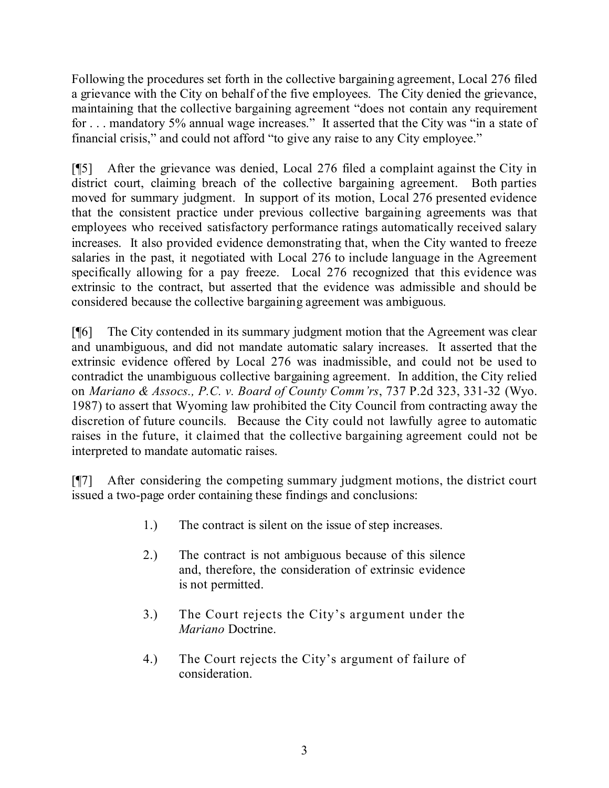Following the procedures set forth in the collective bargaining agreement, Local 276 filed a grievance with the City on behalf of the five employees. The City denied the grievance, maintaining that the collective bargaining agreement "does not contain any requirement for . . . mandatory 5% annual wage increases." It asserted that the City was "in a state of financial crisis," and could not afford "to give any raise to any City employee."

[¶5] After the grievance was denied, Local 276 filed a complaint against the City in district court, claiming breach of the collective bargaining agreement. Both parties moved for summary judgment. In support of its motion, Local 276 presented evidence that the consistent practice under previous collective bargaining agreements was that employees who received satisfactory performance ratings automatically received salary increases. It also provided evidence demonstrating that, when the City wanted to freeze salaries in the past, it negotiated with Local 276 to include language in the Agreement specifically allowing for a pay freeze. Local 276 recognized that this evidence was extrinsic to the contract, but asserted that the evidence was admissible and should be considered because the collective bargaining agreement was ambiguous.

[¶6] The City contended in its summary judgment motion that the Agreement was clear and unambiguous, and did not mandate automatic salary increases. It asserted that the extrinsic evidence offered by Local 276 was inadmissible, and could not be used to contradict the unambiguous collective bargaining agreement. In addition, the City relied on *Mariano & Assocs., P.C. v. Board of County Comm'rs*, 737 P.2d 323, 331-32 (Wyo. 1987) to assert that Wyoming law prohibited the City Council from contracting away the discretion of future councils. Because the City could not lawfully agree to automatic raises in the future, it claimed that the collective bargaining agreement could not be interpreted to mandate automatic raises.

[¶7] After considering the competing summary judgment motions, the district court issued a two-page order containing these findings and conclusions:

- 1.) The contract is silent on the issue of step increases.
- 2.) The contract is not ambiguous because of this silence and, therefore, the consideration of extrinsic evidence is not permitted.
- 3.) The Court rejects the City's argument under the *Mariano* Doctrine.
- 4.) The Court rejects the City's argument of failure of consideration.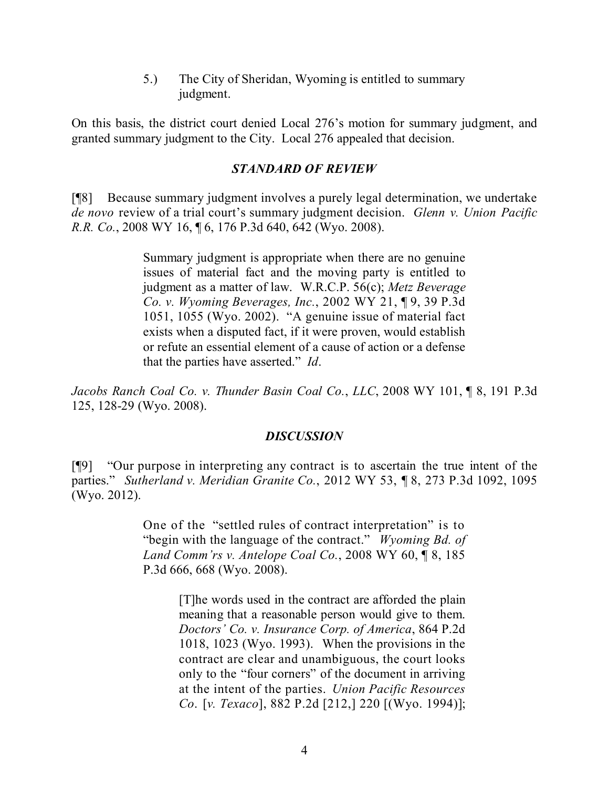5.) The City of Sheridan, Wyoming is entitled to summary judgment.

On this basis, the district court denied Local 276's motion for summary judgment, and granted summary judgment to the City. Local 276 appealed that decision.

### *STANDARD OF REVIEW*

[¶8] Because summary judgment involves a purely legal determination, we undertake *de novo* review of a trial court's summary judgment decision. *Glenn v. Union Pacific R.R. Co.*, 2008 WY 16, ¶ 6, 176 P.3d 640, 642 (Wyo. 2008).

> Summary judgment is appropriate when there are no genuine issues of material fact and the moving party is entitled to judgment as a matter of law. W.R.C.P. 56(c); *Metz Beverage Co. v. Wyoming Beverages, Inc.*, 2002 WY 21, ¶ 9, 39 P.3d 1051, 1055 (Wyo. 2002). "A genuine issue of material fact exists when a disputed fact, if it were proven, would establish or refute an essential element of a cause of action or a defense that the parties have asserted." *Id*.

*Jacobs Ranch Coal Co. v. Thunder Basin Coal Co.*, *LLC*, 2008 WY 101, ¶ 8, 191 P.3d 125, 128-29 (Wyo. 2008).

#### *DISCUSSION*

[¶9] "Our purpose in interpreting any contract is to ascertain the true intent of the parties." *Sutherland v. Meridian Granite Co.*, 2012 WY 53, ¶ 8, 273 P.3d 1092, 1095 (Wyo. 2012).

> One of the "settled rules of contract interpretation" is to "begin with the language of the contract." *Wyoming Bd. of Land Comm'rs v. Antelope Coal Co.*, 2008 WY 60, ¶ 8, 185 P.3d 666, 668 (Wyo. 2008).

> > [T]he words used in the contract are afforded the plain meaning that a reasonable person would give to them. *Doctors' Co. v. Insurance Corp. of America*, 864 P.2d 1018, 1023 (Wyo. 1993). When the provisions in the contract are clear and unambiguous, the court looks only to the "four corners" of the document in arriving at the intent of the parties. *Union Pacific Resources Co*. [*v. Texaco*], 882 P.2d [212,] 220 [(Wyo. 1994)];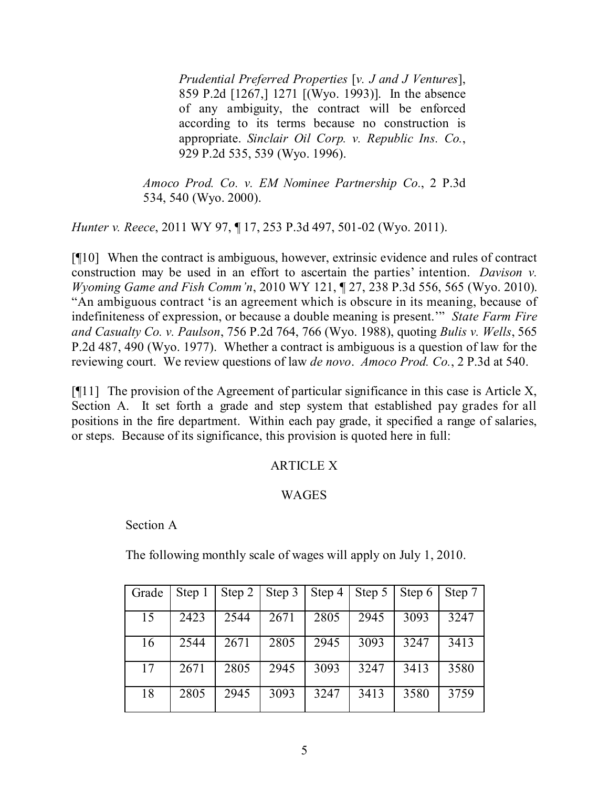*Prudential Preferred Properties* [*v. J and J Ventures*], 859 P.2d [1267,] 1271 [(Wyo. 1993)]. In the absence of any ambiguity, the contract will be enforced according to its terms because no construction is appropriate. *Sinclair Oil Corp. v. Republic Ins. Co.*, 929 P.2d 535, 539 (Wyo. 1996).

*Amoco Prod. Co. v. EM Nominee Partnership Co.*, 2 P.3d 534, 540 (Wyo. 2000).

*Hunter v. Reece*, 2011 WY 97, ¶ 17, 253 P.3d 497, 501-02 (Wyo. 2011).

[¶10] When the contract is ambiguous, however, extrinsic evidence and rules of contract construction may be used in an effort to ascertain the parties' intention. *Davison v. Wyoming Game and Fish Comm'n*, 2010 WY 121, ¶ 27, 238 P.3d 556, 565 (Wyo. 2010). "An ambiguous contract 'is an agreement which is obscure in its meaning, because of indefiniteness of expression, or because a double meaning is present.'" *State Farm Fire and Casualty Co. v. Paulson*, 756 P.2d 764, 766 (Wyo. 1988), quoting *Bulis v. Wells*, 565 P.2d 487, 490 (Wyo. 1977). Whether a contract is ambiguous is a question of law for the reviewing court. We review questions of law *de novo*. *Amoco Prod. Co.*, 2 P.3d at 540.

 $[$ [[11] The provision of the Agreement of particular significance in this case is Article X, Section A. It set forth a grade and step system that established pay grades for all positions in the fire department. Within each pay grade, it specified a range of salaries, or steps. Because of its significance, this provision is quoted here in full:

# ARTICLE X

## **WAGES**

## Section A

The following monthly scale of wages will apply on July 1, 2010.

| Grade | Step 1 |      |      |      | Step 2   Step 3   Step 4   Step 5 | Step 6   Step 7 |      |
|-------|--------|------|------|------|-----------------------------------|-----------------|------|
| 15    | 2423   | 2544 | 2671 | 2805 | 2945                              | 3093            | 3247 |
| 16    | 2544   | 2671 | 2805 | 2945 | 3093                              | 3247            | 3413 |
| 17    | 2671   | 2805 | 2945 | 3093 | 3247                              | 3413            | 3580 |
| 18    | 2805   | 2945 | 3093 | 3247 | 3413                              | 3580            | 3759 |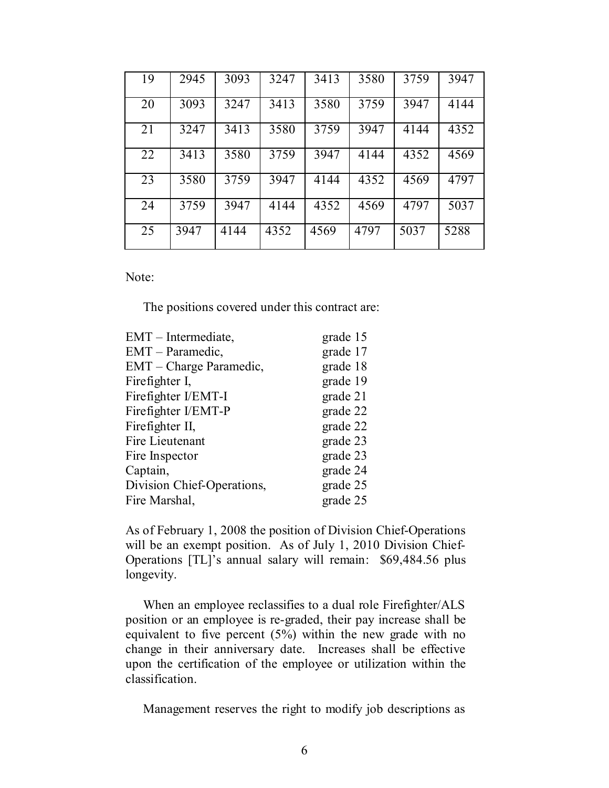| 19 | 2945 | 3093 | 3247 | 3413 | 3580 | 3759 | 3947 |
|----|------|------|------|------|------|------|------|
| 20 | 3093 | 3247 | 3413 | 3580 | 3759 | 3947 | 4144 |
| 21 | 3247 | 3413 | 3580 | 3759 | 3947 | 4144 | 4352 |
| 22 | 3413 | 3580 | 3759 | 3947 | 4144 | 4352 | 4569 |
| 23 | 3580 | 3759 | 3947 | 4144 | 4352 | 4569 | 4797 |
| 24 | 3759 | 3947 | 4144 | 4352 | 4569 | 4797 | 5037 |
| 25 | 3947 | 4144 | 4352 | 4569 | 4797 | 5037 | 5288 |

Note:

The positions covered under this contract are:

| EMT – Intermediate,        | grade 15 |
|----------------------------|----------|
| EMT – Paramedic,           | grade 17 |
| EMT – Charge Paramedic,    | grade 18 |
| Firefighter I,             | grade 19 |
| Firefighter I/EMT-I        | grade 21 |
| Firefighter I/EMT-P        | grade 22 |
| Fire fighter II,           | grade 22 |
| Fire Lieutenant            | grade 23 |
| Fire Inspector             | grade 23 |
| Captain,                   | grade 24 |
| Division Chief-Operations, | grade 25 |
| Fire Marshal,              | grade 25 |

As of February 1, 2008 the position of Division Chief-Operations will be an exempt position. As of July 1, 2010 Division Chief-Operations [TL]'s annual salary will remain: \$69,484.56 plus longevity.

When an employee reclassifies to a dual role Firefighter/ALS position or an employee is re-graded, their pay increase shall be equivalent to five percent (5%) within the new grade with no change in their anniversary date. Increases shall be effective upon the certification of the employee or utilization within the classification.

Management reserves the right to modify job descriptions as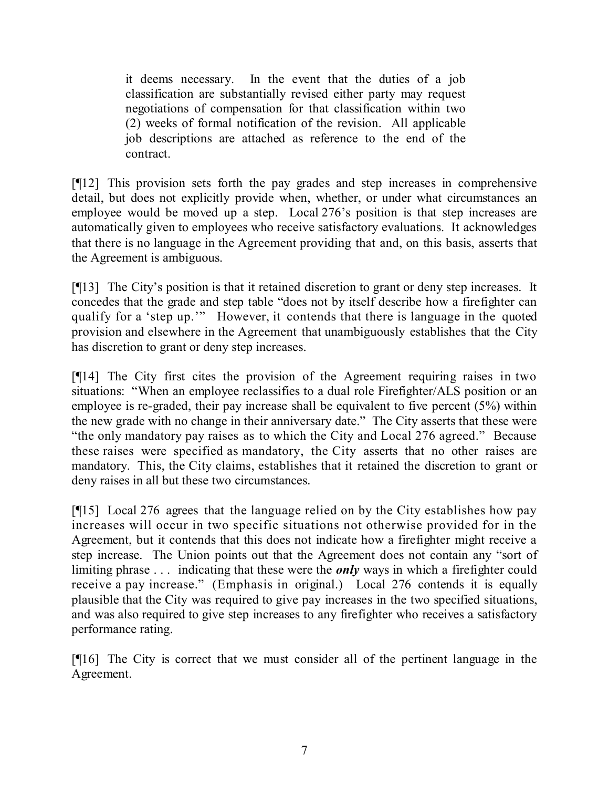it deems necessary. In the event that the duties of a job classification are substantially revised either party may request negotiations of compensation for that classification within two (2) weeks of formal notification of the revision. All applicable job descriptions are attached as reference to the end of the contract.

[¶12] This provision sets forth the pay grades and step increases in comprehensive detail, but does not explicitly provide when, whether, or under what circumstances an employee would be moved up a step. Local 276's position is that step increases are automatically given to employees who receive satisfactory evaluations. It acknowledges that there is no language in the Agreement providing that and, on this basis, asserts that the Agreement is ambiguous.

[¶13] The City's position is that it retained discretion to grant or deny step increases. It concedes that the grade and step table "does not by itself describe how a firefighter can qualify for a 'step up.'" However, it contends that there is language in the quoted provision and elsewhere in the Agreement that unambiguously establishes that the City has discretion to grant or deny step increases.

[¶14] The City first cites the provision of the Agreement requiring raises in two situations: "When an employee reclassifies to a dual role Firefighter/ALS position or an employee is re-graded, their pay increase shall be equivalent to five percent (5%) within the new grade with no change in their anniversary date." The City asserts that these were "the only mandatory pay raises as to which the City and Local 276 agreed." Because these raises were specified as mandatory, the City asserts that no other raises are mandatory. This, the City claims, establishes that it retained the discretion to grant or deny raises in all but these two circumstances.

[¶15] Local 276 agrees that the language relied on by the City establishes how pay increases will occur in two specific situations not otherwise provided for in the Agreement, but it contends that this does not indicate how a firefighter might receive a step increase. The Union points out that the Agreement does not contain any "sort of limiting phrase . . . indicating that these were the *only* ways in which a firefighter could receive a pay increase." (Emphasis in original.) Local 276 contends it is equally plausible that the City was required to give pay increases in the two specified situations, and was also required to give step increases to any firefighter who receives a satisfactory performance rating.

[¶16] The City is correct that we must consider all of the pertinent language in the Agreement.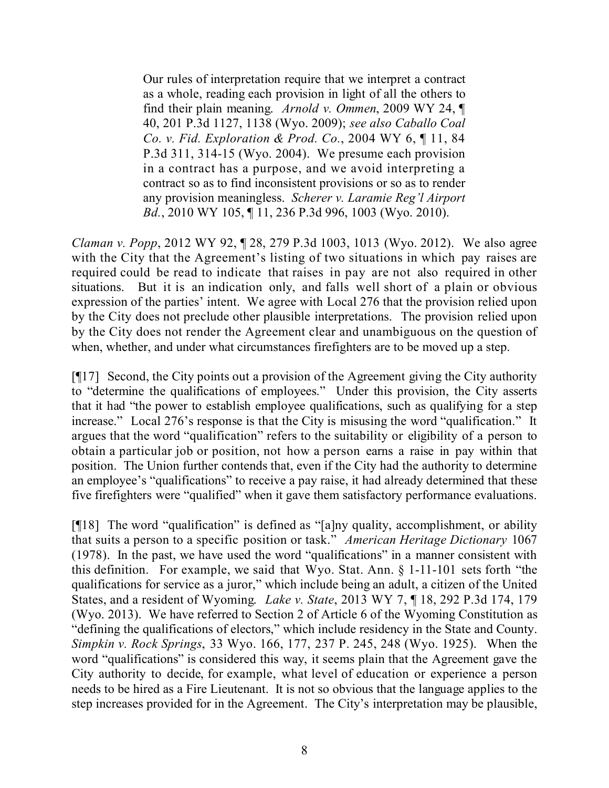Our rules of interpretation require that we interpret a contract as a whole, reading each provision in light of all the others to find their plain meaning. *Arnold v. Ommen*, 2009 WY 24, ¶ 40, 201 P.3d 1127, 1138 (Wyo. 2009); *see also Caballo Coal Co. v. Fid. Exploration & Prod. Co.*, 2004 WY 6, ¶ 11, 84 P.3d 311, 314-15 (Wyo. 2004). We presume each provision in a contract has a purpose, and we avoid interpreting a contract so as to find inconsistent provisions or so as to render any provision meaningless. *Scherer v. Laramie Reg'l Airport Bd.*, 2010 WY 105, ¶ 11, 236 P.3d 996, 1003 (Wyo. 2010).

*Claman v. Popp*, 2012 WY 92, ¶ 28, 279 P.3d 1003, 1013 (Wyo. 2012). We also agree with the City that the Agreement's listing of two situations in which pay raises are required could be read to indicate that raises in pay are not also required in other situations. But it is an indication only, and falls well short of a plain or obvious expression of the parties' intent. We agree with Local 276 that the provision relied upon by the City does not preclude other plausible interpretations. The provision relied upon by the City does not render the Agreement clear and unambiguous on the question of when, whether, and under what circumstances firefighters are to be moved up a step.

[¶17] Second, the City points out a provision of the Agreement giving the City authority to "determine the qualifications of employees." Under this provision, the City asserts that it had "the power to establish employee qualifications, such as qualifying for a step increase." Local 276's response is that the City is misusing the word "qualification." It argues that the word "qualification" refers to the suitability or eligibility of a person to obtain a particular job or position, not how a person earns a raise in pay within that position. The Union further contends that, even if the City had the authority to determine an employee's "qualifications" to receive a pay raise, it had already determined that these five firefighters were "qualified" when it gave them satisfactory performance evaluations.

[¶18] The word "qualification" is defined as "[a]ny quality, accomplishment, or ability that suits a person to a specific position or task." *American Heritage Dictionary* 1067 (1978). In the past, we have used the word "qualifications" in a manner consistent with this definition. For example, we said that Wyo. Stat. Ann. § 1-11-101 sets forth "the qualifications for service as a juror," which include being an adult, a citizen of the United States, and a resident of Wyoming. *Lake v. State*, 2013 WY 7, ¶ 18, 292 P.3d 174, 179 (Wyo. 2013). We have referred to Section 2 of Article 6 of the Wyoming Constitution as "defining the qualifications of electors," which include residency in the State and County. *Simpkin v. Rock Springs*, 33 Wyo. 166, 177, 237 P. 245, 248 (Wyo. 1925). When the word "qualifications" is considered this way, it seems plain that the Agreement gave the City authority to decide, for example, what level of education or experience a person needs to be hired as a Fire Lieutenant. It is not so obvious that the language applies to the step increases provided for in the Agreement. The City's interpretation may be plausible,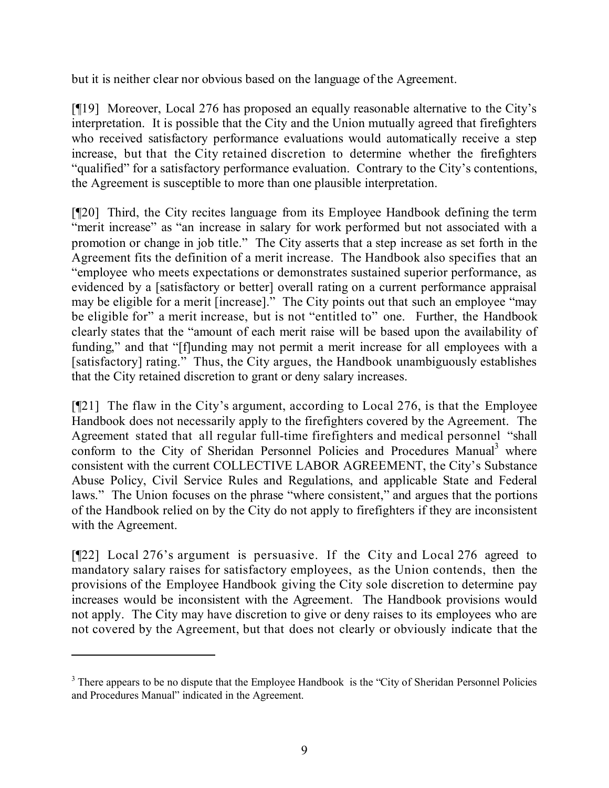but it is neither clear nor obvious based on the language of the Agreement.

[¶19] Moreover, Local 276 has proposed an equally reasonable alternative to the City's interpretation. It is possible that the City and the Union mutually agreed that firefighters who received satisfactory performance evaluations would automatically receive a step increase, but that the City retained discretion to determine whether the firefighters "qualified" for a satisfactory performance evaluation. Contrary to the City's contentions, the Agreement is susceptible to more than one plausible interpretation.

[¶20] Third, the City recites language from its Employee Handbook defining the term "merit increase" as "an increase in salary for work performed but not associated with a promotion or change in job title." The City asserts that a step increase as set forth in the Agreement fits the definition of a merit increase. The Handbook also specifies that an "employee who meets expectations or demonstrates sustained superior performance, as evidenced by a [satisfactory or better] overall rating on a current performance appraisal may be eligible for a merit [increase]." The City points out that such an employee "may be eligible for" a merit increase, but is not "entitled to" one. Further, the Handbook clearly states that the "amount of each merit raise will be based upon the availability of funding," and that "[f]unding may not permit a merit increase for all employees with a [satisfactory] rating." Thus, the City argues, the Handbook unambiguously establishes that the City retained discretion to grant or deny salary increases.

[¶21] The flaw in the City's argument, according to Local 276, is that the Employee Handbook does not necessarily apply to the firefighters covered by the Agreement. The Agreement stated that all regular full-time firefighters and medical personnel "shall conform to the City of Sheridan Personnel Policies and Procedures Manual<sup>3</sup> where consistent with the current COLLECTIVE LABOR AGREEMENT, the City's Substance Abuse Policy, Civil Service Rules and Regulations, and applicable State and Federal laws." The Union focuses on the phrase "where consistent," and argues that the portions of the Handbook relied on by the City do not apply to firefighters if they are inconsistent with the Agreement.

[¶22] Local 276's argument is persuasive. If the City and Local 276 agreed to mandatory salary raises for satisfactory employees, as the Union contends, then the provisions of the Employee Handbook giving the City sole discretion to determine pay increases would be inconsistent with the Agreement. The Handbook provisions would not apply. The City may have discretion to give or deny raises to its employees who are not covered by the Agreement, but that does not clearly or obviously indicate that the

<sup>&</sup>lt;sup>3</sup> There appears to be no dispute that the Employee Handbook is the "City of Sheridan Personnel Policies" and Procedures Manual" indicated in the Agreement.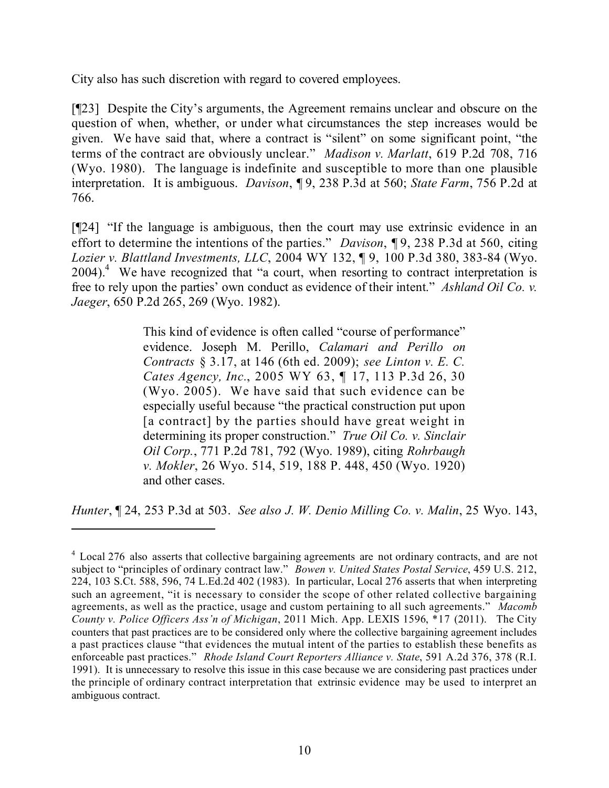City also has such discretion with regard to covered employees.

[¶23] Despite the City's arguments, the Agreement remains unclear and obscure on the question of when, whether, or under what circumstances the step increases would be given. We have said that, where a contract is "silent" on some significant point, "the terms of the contract are obviously unclear." *Madison v. Marlatt*, 619 P.2d 708, 716 (Wyo. 1980). The language is indefinite and susceptible to more than one plausible interpretation. It is ambiguous. *Davison*, ¶ 9, 238 P.3d at 560; *State Farm*, 756 P.2d at 766.

[¶24] "If the language is ambiguous, then the court may use extrinsic evidence in an effort to determine the intentions of the parties." *Davison*, ¶ 9, 238 P.3d at 560, citing *Lozier v. Blattland Investments, LLC*, 2004 WY 132, ¶ 9, 100 P.3d 380, 383-84 (Wyo. 2004).<sup>4</sup> We have recognized that "a court, when resorting to contract interpretation is free to rely upon the parties' own conduct as evidence of their intent." *Ashland Oil Co. v. Jaeger*, 650 P.2d 265, 269 (Wyo. 1982).

> This kind of evidence is often called "course of performance" evidence. Joseph M. Perillo, *Calamari and Perillo on Contracts* § 3.17, at 146 (6th ed. 2009); *see Linton v. E. C. Cates Agency, Inc.*, 2005 WY 63, ¶ 17, 113 P.3d 26, 30 (Wyo. 2005). We have said that such evidence can be especially useful because "the practical construction put upon [a contract] by the parties should have great weight in determining its proper construction." *True Oil Co. v. Sinclair Oil Corp.*, 771 P.2d 781, 792 (Wyo. 1989), citing *Rohrbaugh v. Mokler*, 26 Wyo. 514, 519, 188 P. 448, 450 (Wyo. 1920) and other cases.

*Hunter*, ¶ 24, 253 P.3d at 503. *See also J. W. Denio Milling Co. v. Malin*, 25 Wyo. 143,

<sup>&</sup>lt;sup>4</sup> Local 276 also asserts that collective bargaining agreements are not ordinary contracts, and are not subject to "principles of ordinary contract law." *Bowen v. United States Postal Service*, 459 U.S. 212, 224, 103 S.Ct. 588, 596, 74 L.Ed.2d 402 (1983). In particular, Local 276 asserts that when interpreting such an agreement, "it is necessary to consider the scope of other related collective bargaining agreements, as well as the practice, usage and custom pertaining to all such agreements." *Macomb County v. Police Officers Ass'n of Michigan*, 2011 Mich. App. LEXIS 1596, \*17 (2011). The City counters that past practices are to be considered only where the collective bargaining agreement includes a past practices clause "that evidences the mutual intent of the parties to establish these benefits as enforceable past practices." *Rhode Island Court Reporters Alliance v. State*, 591 A.2d 376, 378 (R.I. 1991). It is unnecessary to resolve this issue in this case because we are considering past practices under the principle of ordinary contract interpretation that extrinsic evidence may be used to interpret an ambiguous contract.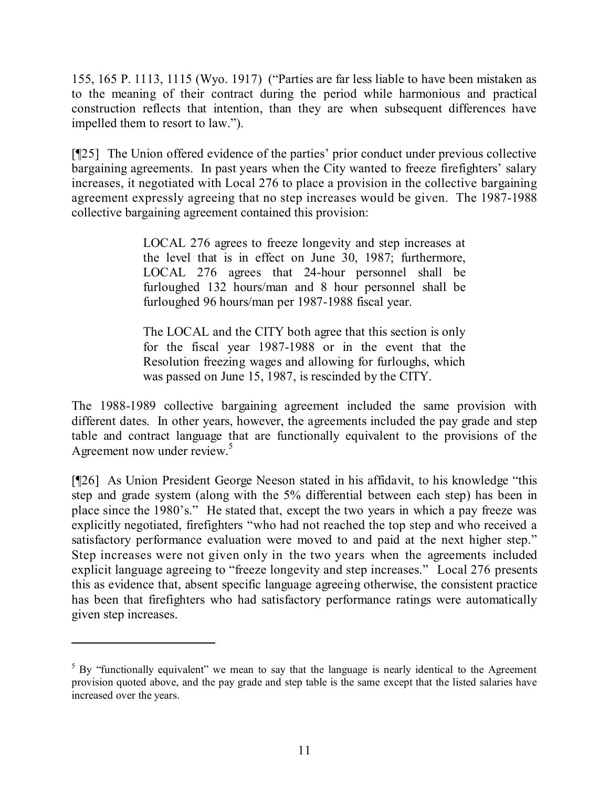155, 165 P. 1113, 1115 (Wyo. 1917) ("Parties are far less liable to have been mistaken as to the meaning of their contract during the period while harmonious and practical construction reflects that intention, than they are when subsequent differences have impelled them to resort to law.").

[¶25] The Union offered evidence of the parties' prior conduct under previous collective bargaining agreements. In past years when the City wanted to freeze firefighters' salary increases, it negotiated with Local 276 to place a provision in the collective bargaining agreement expressly agreeing that no step increases would be given. The 1987-1988 collective bargaining agreement contained this provision:

> LOCAL 276 agrees to freeze longevity and step increases at the level that is in effect on June 30, 1987; furthermore, LOCAL 276 agrees that 24-hour personnel shall be furloughed 132 hours/man and 8 hour personnel shall be furloughed 96 hours/man per 1987-1988 fiscal year.

> The LOCAL and the CITY both agree that this section is only for the fiscal year 1987-1988 or in the event that the Resolution freezing wages and allowing for furloughs, which was passed on June 15, 1987, is rescinded by the CITY.

The 1988-1989 collective bargaining agreement included the same provision with different dates. In other years, however, the agreements included the pay grade and step table and contract language that are functionally equivalent to the provisions of the Agreement now under review. 5

[¶26] As Union President George Neeson stated in his affidavit, to his knowledge "this step and grade system (along with the 5% differential between each step) has been in place since the 1980's." He stated that, except the two years in which a pay freeze was explicitly negotiated, firefighters "who had not reached the top step and who received a satisfactory performance evaluation were moved to and paid at the next higher step." Step increases were not given only in the two years when the agreements included explicit language agreeing to "freeze longevity and step increases." Local 276 presents this as evidence that, absent specific language agreeing otherwise, the consistent practice has been that firefighters who had satisfactory performance ratings were automatically given step increases.

 $5$  By "functionally equivalent" we mean to say that the language is nearly identical to the Agreement provision quoted above, and the pay grade and step table is the same except that the listed salaries have increased over the years.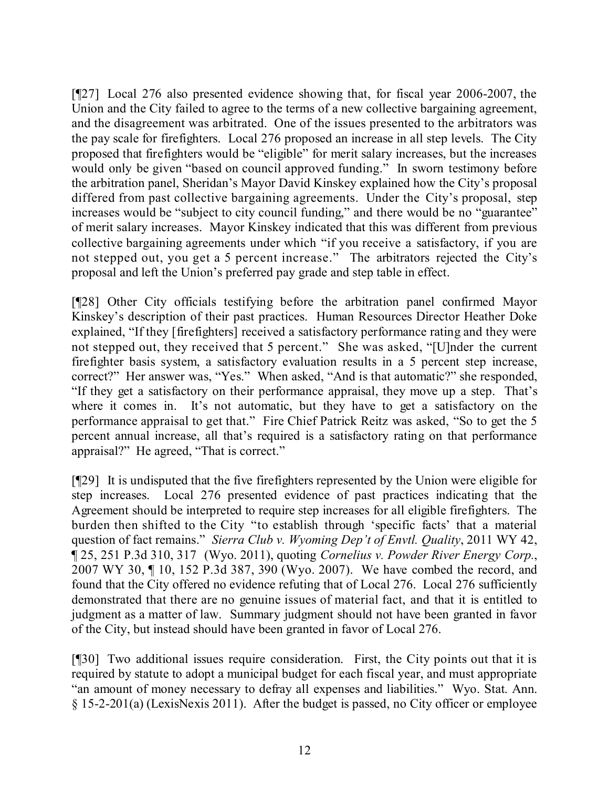[¶27] Local 276 also presented evidence showing that, for fiscal year 2006-2007, the Union and the City failed to agree to the terms of a new collective bargaining agreement, and the disagreement was arbitrated. One of the issues presented to the arbitrators was the pay scale for firefighters. Local 276 proposed an increase in all step levels. The City proposed that firefighters would be "eligible" for merit salary increases, but the increases would only be given "based on council approved funding." In sworn testimony before the arbitration panel, Sheridan's Mayor David Kinskey explained how the City's proposal differed from past collective bargaining agreements. Under the City's proposal, step increases would be "subject to city council funding," and there would be no "guarantee" of merit salary increases. Mayor Kinskey indicated that this was different from previous collective bargaining agreements under which "if you receive a satisfactory, if you are not stepped out, you get a 5 percent increase." The arbitrators rejected the City's proposal and left the Union's preferred pay grade and step table in effect.

[¶28] Other City officials testifying before the arbitration panel confirmed Mayor Kinskey's description of their past practices. Human Resources Director Heather Doke explained, "If they [firefighters] received a satisfactory performance rating and they were not stepped out, they received that 5 percent." She was asked, "[U]nder the current firefighter basis system, a satisfactory evaluation results in a 5 percent step increase, correct?" Her answer was, "Yes." When asked, "And is that automatic?" she responded, "If they get a satisfactory on their performance appraisal, they move up a step. That's where it comes in. It's not automatic, but they have to get a satisfactory on the performance appraisal to get that." Fire Chief Patrick Reitz was asked, "So to get the 5 percent annual increase, all that's required is a satisfactory rating on that performance appraisal?" He agreed, "That is correct."

[¶29] It is undisputed that the five firefighters represented by the Union were eligible for step increases. Local 276 presented evidence of past practices indicating that the Agreement should be interpreted to require step increases for all eligible firefighters. The burden then shifted to the City "to establish through 'specific facts' that a material question of fact remains." *Sierra Club v. Wyoming Dep't of Envtl. Quality*, 2011 WY 42, ¶ 25, 251 P.3d 310, 317 (Wyo. 2011), quoting *Cornelius v. Powder River Energy Corp.*, 2007 WY 30, ¶ 10, 152 P.3d 387, 390 (Wyo. 2007). We have combed the record, and found that the City offered no evidence refuting that of Local 276. Local 276 sufficiently demonstrated that there are no genuine issues of material fact, and that it is entitled to judgment as a matter of law. Summary judgment should not have been granted in favor of the City, but instead should have been granted in favor of Local 276.

[¶30] Two additional issues require consideration. First, the City points out that it is required by statute to adopt a municipal budget for each fiscal year, and must appropriate "an amount of money necessary to defray all expenses and liabilities." Wyo. Stat. Ann. § 15-2-201(a) (LexisNexis 2011). After the budget is passed, no City officer or employee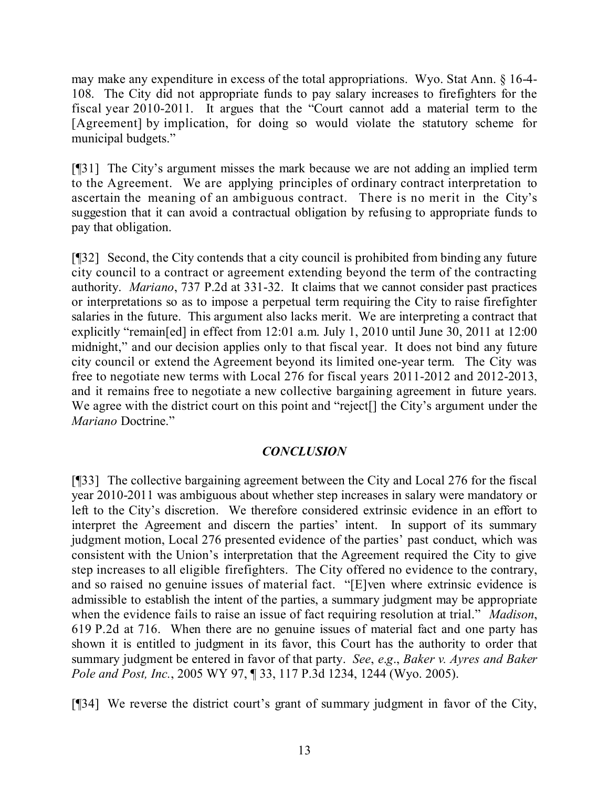may make any expenditure in excess of the total appropriations. Wyo. Stat Ann. § 16-4- 108. The City did not appropriate funds to pay salary increases to firefighters for the fiscal year 2010-2011. It argues that the "Court cannot add a material term to the [Agreement] by implication, for doing so would violate the statutory scheme for municipal budgets."

[¶31] The City's argument misses the mark because we are not adding an implied term to the Agreement. We are applying principles of ordinary contract interpretation to ascertain the meaning of an ambiguous contract. There is no merit in the City's suggestion that it can avoid a contractual obligation by refusing to appropriate funds to pay that obligation.

[¶32] Second, the City contends that a city council is prohibited from binding any future city council to a contract or agreement extending beyond the term of the contracting authority. *Mariano*, 737 P.2d at 331-32. It claims that we cannot consider past practices or interpretations so as to impose a perpetual term requiring the City to raise firefighter salaries in the future. This argument also lacks merit. We are interpreting a contract that explicitly "remain[ed] in effect from 12:01 a.m. July 1, 2010 until June 30, 2011 at 12:00 midnight," and our decision applies only to that fiscal year. It does not bind any future city council or extend the Agreement beyond its limited one-year term. The City was free to negotiate new terms with Local 276 for fiscal years 2011-2012 and 2012-2013, and it remains free to negotiate a new collective bargaining agreement in future years. We agree with the district court on this point and "reject<sup>[]</sup> the City's argument under the *Mariano* Doctrine."

## *CONCLUSION*

[¶33] The collective bargaining agreement between the City and Local 276 for the fiscal year 2010-2011 was ambiguous about whether step increases in salary were mandatory or left to the City's discretion. We therefore considered extrinsic evidence in an effort to interpret the Agreement and discern the parties' intent. In support of its summary judgment motion, Local 276 presented evidence of the parties' past conduct, which was consistent with the Union's interpretation that the Agreement required the City to give step increases to all eligible firefighters. The City offered no evidence to the contrary, and so raised no genuine issues of material fact. "[E]ven where extrinsic evidence is admissible to establish the intent of the parties, a summary judgment may be appropriate when the evidence fails to raise an issue of fact requiring resolution at trial." *Madison*, 619 P.2d at 716. When there are no genuine issues of material fact and one party has shown it is entitled to judgment in its favor, this Court has the authority to order that summary judgment be entered in favor of that party. *See*, *e*.*g*., *Baker v. Ayres and Baker Pole and Post, Inc.*, 2005 WY 97, ¶ 33, 117 P.3d 1234, 1244 (Wyo. 2005).

[¶34] We reverse the district court's grant of summary judgment in favor of the City,